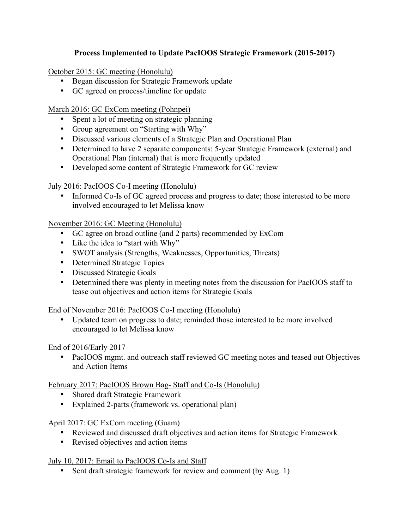# **Process Implemented to Update PacIOOS Strategic Framework (2015-2017)**

October 2015: GC meeting (Honolulu)

- Began discussion for Strategic Framework update
- GC agreed on process/timeline for update

March 2016: GC ExCom meeting (Pohnpei)

- Spent a lot of meeting on strategic planning
- Group agreement on "Starting with Why"
- Discussed various elements of a Strategic Plan and Operational Plan
- Determined to have 2 separate components: 5-year Strategic Framework (external) and Operational Plan (internal) that is more frequently updated
- Developed some content of Strategic Framework for GC review

# July 2016: PacIOOS Co-I meeting (Honolulu)

• Informed Co-Is of GC agreed process and progress to date; those interested to be more involved encouraged to let Melissa know

November 2016: GC Meeting (Honolulu)

- GC agree on broad outline (and 2 parts) recommended by ExCom
- Like the idea to "start with Why"
- SWOT analysis (Strengths, Weaknesses, Opportunities, Threats)
- Determined Strategic Topics
- Discussed Strategic Goals
- Determined there was plenty in meeting notes from the discussion for PacIOOS staff to tease out objectives and action items for Strategic Goals

End of November 2016: PacIOOS Co-I meeting (Honolulu)

• Updated team on progress to date; reminded those interested to be more involved encouraged to let Melissa know

# End of 2016/Early 2017

• PacIOOS mgmt, and outreach staff reviewed GC meeting notes and teased out Objectives and Action Items

February 2017: PacIOOS Brown Bag- Staff and Co-Is (Honolulu)

- Shared draft Strategic Framework
- Explained 2-parts (framework vs. operational plan)

April 2017: GC ExCom meeting (Guam)

- Reviewed and discussed draft objectives and action items for Strategic Framework
- Revised objectives and action items

# July 10, 2017: Email to PacIOOS Co-Is and Staff

• Sent draft strategic framework for review and comment (by Aug. 1)